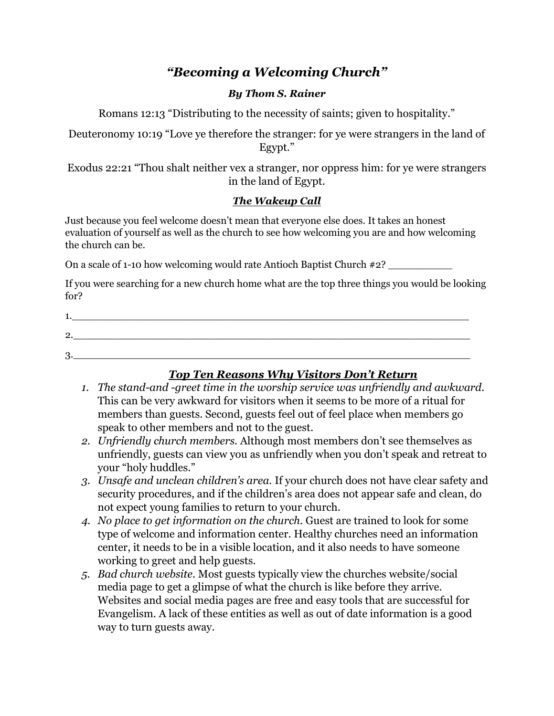# *"Becoming a Welcoming Church"*

#### *By Thom S. Rainer*

Romans 12:13 "Distributing to the necessity of saints; given to hospitality."

Deuteronomy 10:19 "Love ye therefore the stranger: for ye were strangers in the land of Egypt."

Exodus 22:21 "Thou shalt neither vex a stranger, nor oppress him: for ye were strangers in the land of Egypt.

#### *The Wakeup Call*

Just because you feel welcome doesn't mean that everyone else does. It takes an honest evaluation of yourself as well as the church to see how welcoming you are and how welcoming the church can be.

On a scale of 1-10 how welcoming would rate Antioch Baptist Church  $\#2$ ?

If you were searching for a new church home what are the top three things you would be looking for?

| ົ<br>ـ. |  |  |
|---------|--|--|
| ∩       |  |  |

## *Top Ten Reasons Why Visitors Don't Return*

- *1. The stand-and -greet time in the worship service was unfriendly and awkward.* This can be very awkward for visitors when it seems to be more of a ritual for members than guests. Second, guests feel out of feel place when members go speak to other members and not to the guest.
- *2. Unfriendly church members.* Although most members don't see themselves as unfriendly, guests can view you as unfriendly when you don't speak and retreat to your "holy huddles."
- *3. Unsafe and unclean children's area.* If your church does not have clear safety and security procedures, and if the children's area does not appear safe and clean, do not expect young families to return to your church.
- *4. No place to get information on the church.* Guest are trained to look for some type of welcome and information center. Healthy churches need an information center, it needs to be in a visible location, and it also needs to have someone working to greet and help guests.
- *5. Bad church website.* Most guests typically view the churches website/social media page to get a glimpse of what the church is like before they arrive. Websites and social media pages are free and easy tools that are successful for Evangelism. A lack of these entities as well as out of date information is a good way to turn guests away.